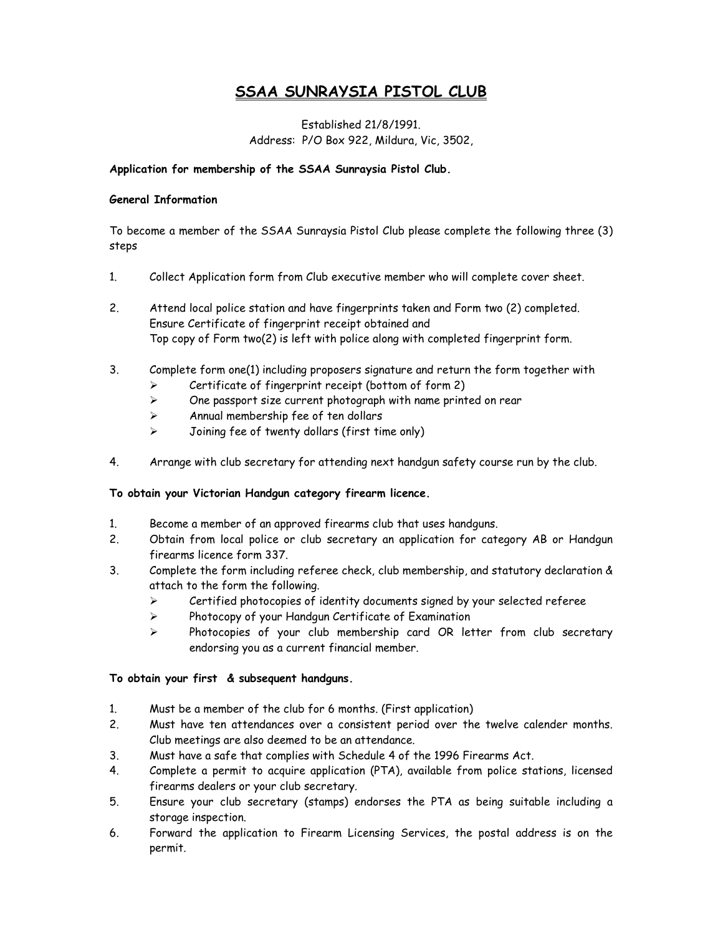# SSAA SUNRAYSIA PISTOL CLUB

## Established 21/8/1991. Address: P/O Box 922, Mildura, Vic, 3502,

### Application for membership of the SSAA Sunraysia Pistol Club.

#### General Information

To become a member of the SSAA Sunraysia Pistol Club please complete the following three (3) steps

- 1. Collect Application form from Club executive member who will complete cover sheet.
- 2. Attend local police station and have fingerprints taken and Form two (2) completed. Ensure Certificate of fingerprint receipt obtained and Top copy of Form two(2) is left with police along with completed fingerprint form.
- 3. Complete form one(1) including proposers signature and return the form together with  $\triangleright$  Certificate of fingerprint receipt (bottom of form 2)
	- $\triangleright$  One passport size current photograph with name printed on rear
	- $\triangleright$  Annual membership fee of ten dollars
	- $\triangleright$  Joining fee of twenty dollars (first time only)
- 4. Arrange with club secretary for attending next handgun safety course run by the club.

### To obtain your Victorian Handgun category firearm licence.

- 1. Become a member of an approved firearms club that uses handguns.
- 2. Obtain from local police or club secretary an application for category AB or Handgun firearms licence form 337.
- 3. Complete the form including referee check, club membership, and statutory declaration & attach to the form the following.
	- $\triangleright$  Certified photocopies of identity documents signed by your selected referee
	- $\triangleright$  Photocopy of your Handgun Certificate of Examination
	- $\triangleright$  Photocopies of your club membership card OR letter from club secretary endorsing you as a current financial member.

### To obtain your first & subsequent handguns.

- 1. Must be a member of the club for 6 months. (First application)
- 2. Must have ten attendances over a consistent period over the twelve calender months. Club meetings are also deemed to be an attendance.
- 3. Must have a safe that complies with Schedule 4 of the 1996 Firearms Act.
- 4. Complete a permit to acquire application (PTA), available from police stations, licensed firearms dealers or your club secretary.
- 5. Ensure your club secretary (stamps) endorses the PTA as being suitable including a storage inspection.
- 6. Forward the application to Firearm Licensing Services, the postal address is on the permit.